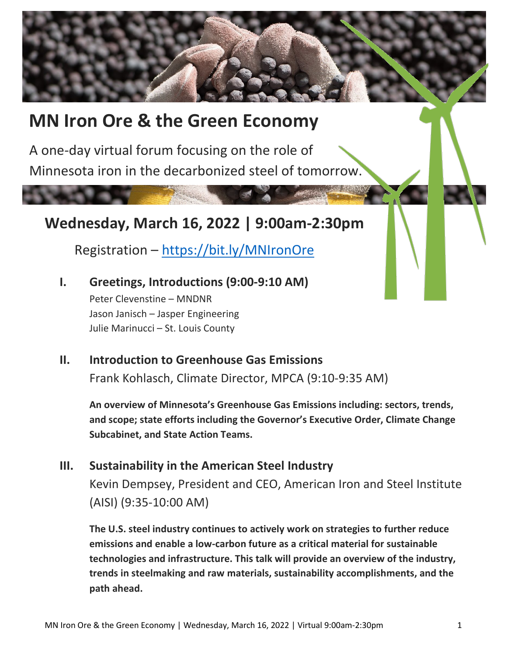# **MN Iron Ore & the Green Economy**

A one-day virtual forum focusing on the role of Minnesota iron in the decarbonized steel of tomorrow.

**Wednesday, March 16, 2022 | 9:00am-2:30pm**

Registration – <https://bit.ly/MNIronOre>

- **I. Greetings, Introductions (9:00-9:10 AM)** Peter Clevenstine – MNDNR Jason Janisch – Jasper Engineering Julie Marinucci – St. Louis County
- **II. Introduction to Greenhouse Gas Emissions** Frank Kohlasch, Climate Director, MPCA (9:10-9:35 AM)

**An overview of Minnesota's Greenhouse Gas Emissions including: sectors, trends, and scope; state efforts including the Governor's Executive Order, Climate Change Subcabinet, and State Action Teams.** 

# **III. Sustainability in the American Steel Industry**

Kevin Dempsey, President and CEO, American Iron and Steel Institute (AISI) (9:35-10:00 AM)

**The U.S. steel industry continues to actively work on strategies to further reduce emissions and enable a low-carbon future as a critical material for sustainable technologies and infrastructure. This talk will provide an overview of the industry, trends in steelmaking and raw materials, sustainability accomplishments, and the path ahead.**